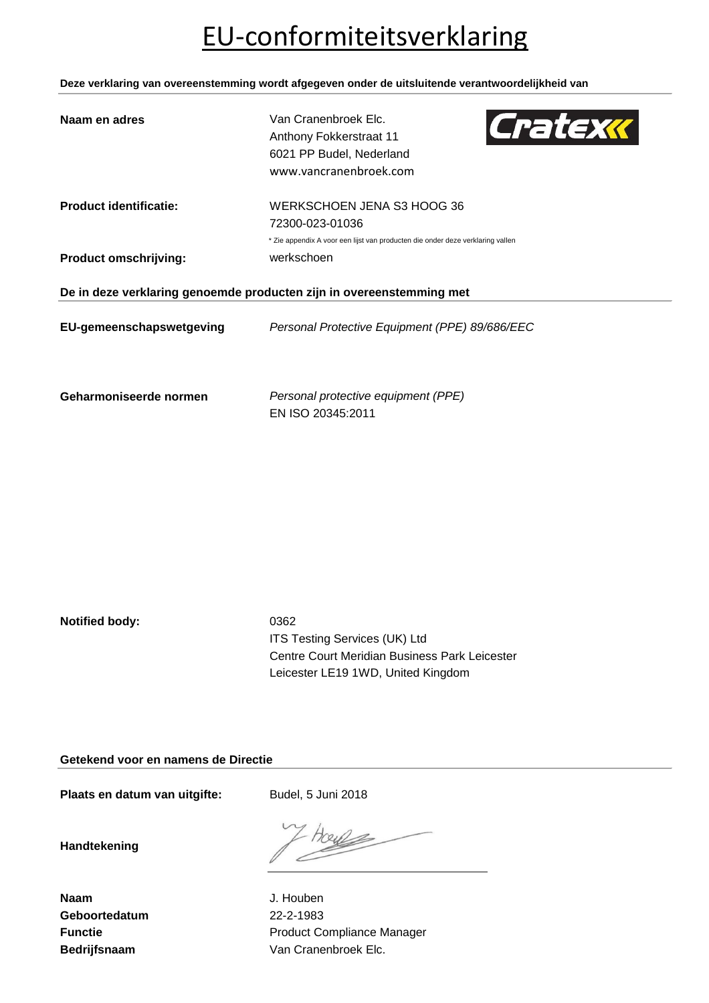# EU-conformiteitsverklaring

**Deze verklaring van overeenstemming wordt afgegeven onder de uitsluitende verantwoordelijkheid van**

| Naam en adres                                                        | Van Cranenbroek Elc.<br>Cratexx<br>Anthony Fokkerstraat 11<br>6021 PP Budel, Nederland<br>www.vancranenbroek.com |  |  |
|----------------------------------------------------------------------|------------------------------------------------------------------------------------------------------------------|--|--|
| <b>Product identificatie:</b>                                        | WERKSCHOEN JENA S3 HOOG 36                                                                                       |  |  |
|                                                                      | 72300-023-01036                                                                                                  |  |  |
|                                                                      | * Zie appendix A voor een lijst van producten die onder deze verklaring vallen                                   |  |  |
| <b>Product omschrijving:</b>                                         | werkschoen                                                                                                       |  |  |
| De in deze verklaring genoemde producten zijn in overeenstemming met |                                                                                                                  |  |  |
| EU-gemeenschapswetgeving                                             | Personal Protective Equipment (PPE) 89/686/EEC                                                                   |  |  |
| Geharmoniseerde normen                                               | Personal protective equipment (PPE)                                                                              |  |  |

EN ISO 20345:2011

**Notified body:** 0362

ITS Testing Services (UK) Ltd Centre Court Meridian Business Park Leicester Leicester LE19 1WD, United Kingdom

**Getekend voor en namens de Directie**

Plaats en datum van uitgifte: Budel, 5 Juni 2018

**Handtekening**

**Naam** J. Houben **Geboortedatum** 22-2-1983

**Functie Functie Function Product Compliance Manager** Bedrijfsnaam **Van Cranenbroek Elc.** Van Cranenbroek Elc.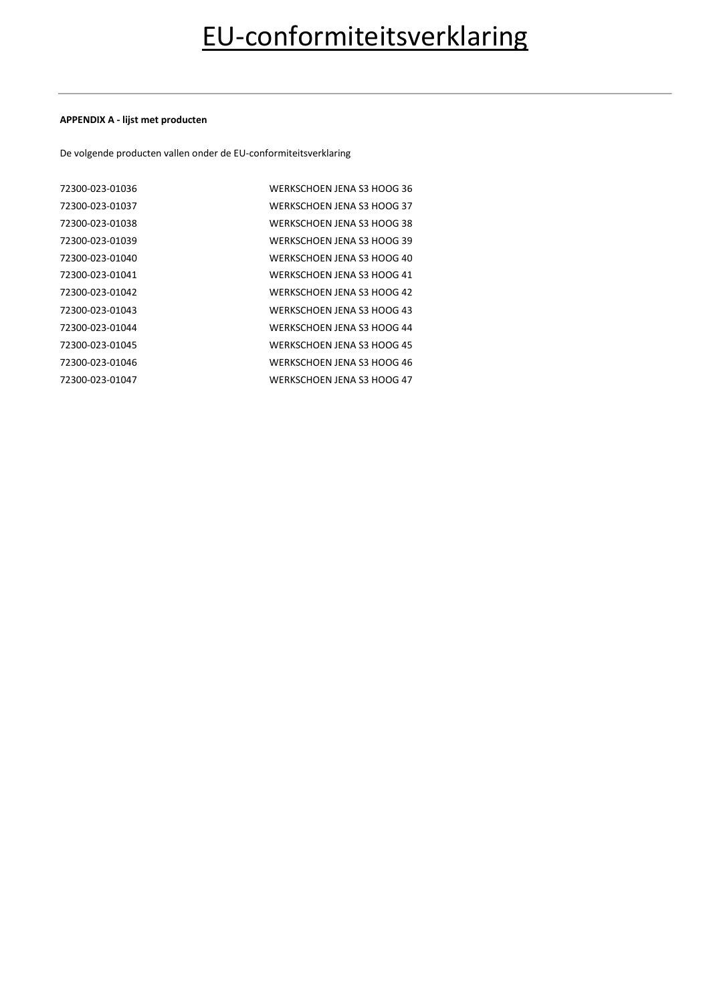#### **APPENDIX A - lijst met producten**

De volgende producten vallen onder de EU-conformiteitsverklaring

| 72300-023-01036 | WERKSCHOEN JENA S3 HOOG 36 |
|-----------------|----------------------------|
| 72300-023-01037 | WERKSCHOEN JENA S3 HOOG 37 |
| 72300-023-01038 | WERKSCHOEN JENA S3 HOOG 38 |
| 72300-023-01039 | WERKSCHOEN JENA S3 HOOG 39 |
| 72300-023-01040 | WERKSCHOEN JENA S3 HOOG 40 |
| 72300-023-01041 | WERKSCHOEN JENA S3 HOOG 41 |
| 72300-023-01042 | WERKSCHOEN JENA S3 HOOG 42 |
| 72300-023-01043 | WERKSCHOEN JENA S3 HOOG 43 |
| 72300-023-01044 | WERKSCHOEN JENA S3 HOOG 44 |
| 72300-023-01045 | WERKSCHOEN JENA S3 HOOG 45 |
| 72300-023-01046 | WERKSCHOEN JENA S3 HOOG 46 |
| 72300-023-01047 | WERKSCHOEN JENA S3 HOOG 47 |
|                 |                            |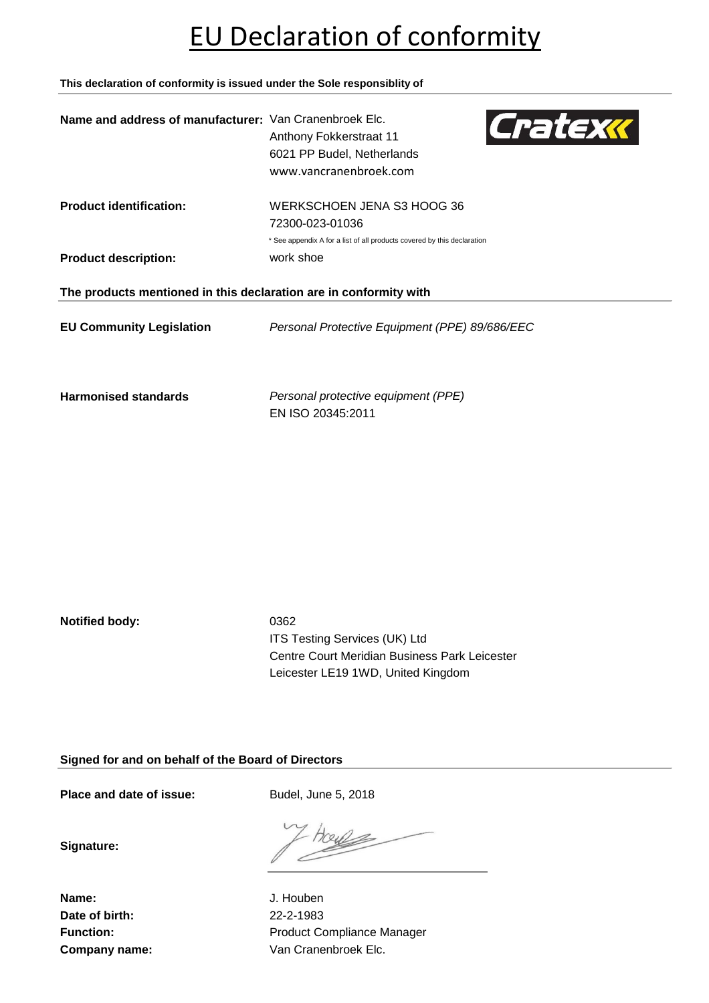# EU Declaration of conformity

**This declaration of conformity is issued under the Sole responsiblity of**

| Name and address of manufacturer: Van Cranenbroek Elc.            | Cratexx<br>Anthony Fokkerstraat 11<br>6021 PP Budel, Netherlands<br>www.vancranenbroek.com |  |
|-------------------------------------------------------------------|--------------------------------------------------------------------------------------------|--|
| <b>Product identification:</b>                                    | WERKSCHOEN JENA S3 HOOG 36<br>72300-023-01036                                              |  |
|                                                                   | * See appendix A for a list of all products covered by this declaration                    |  |
| <b>Product description:</b>                                       | work shoe                                                                                  |  |
| The products mentioned in this declaration are in conformity with |                                                                                            |  |
| <b>EU Community Legislation</b>                                   | Personal Protective Equipment (PPE) 89/686/EEC                                             |  |
| <b>Harmonised standards</b>                                       | Personal protective equipment (PPE)                                                        |  |

EN ISO 20345:2011

**Notified body:** 0362

ITS Testing Services (UK) Ltd Centre Court Meridian Business Park Leicester Leicester LE19 1WD, United Kingdom

**Signed for and on behalf of the Board of Directors**

Place and date of issue: Budel, June 5, 2018

**Signature:**

**Name:** J. Houben **Date of birth:** 22-2-1983

Function: **Function:** Product Compliance Manager **Company name:** Van Cranenbroek Elc.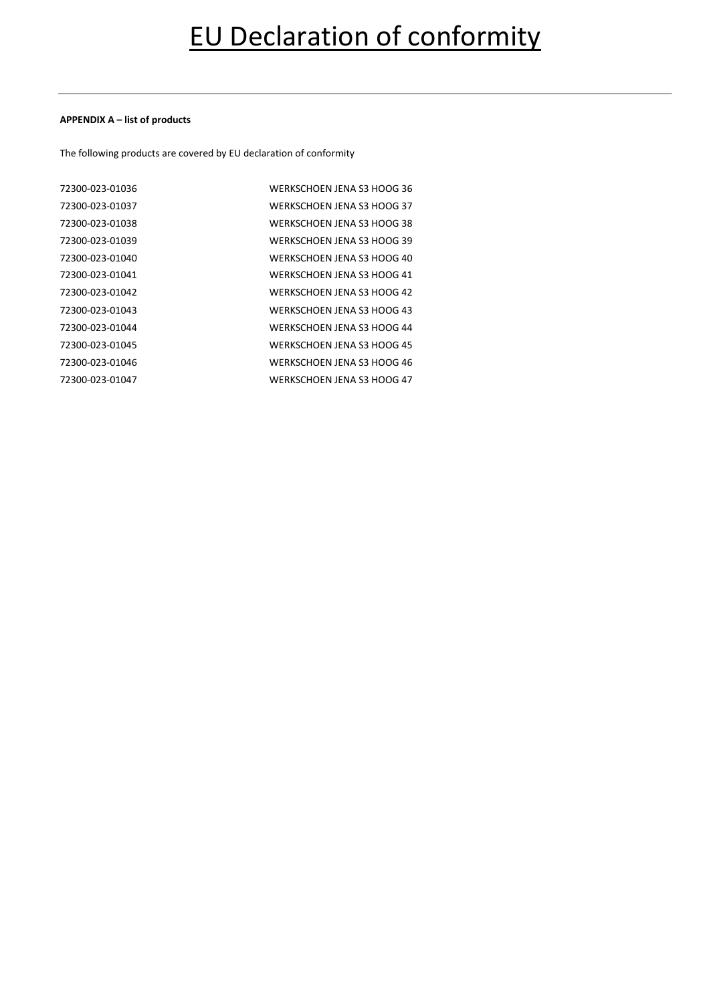#### **APPENDIX A – list of products**

The following products are covered by EU declaration of conformity

| 72300-023-01036 | WERKSCHOEN JENA S3 HOOG 36 |
|-----------------|----------------------------|
| 72300-023-01037 | WERKSCHOEN JENA S3 HOOG 37 |
| 72300-023-01038 | WERKSCHOEN JENA S3 HOOG 38 |
| 72300-023-01039 | WERKSCHOEN JENA S3 HOOG 39 |
| 72300-023-01040 | WERKSCHOEN JENA S3 HOOG 40 |
| 72300-023-01041 | WERKSCHOEN JENA S3 HOOG 41 |
| 72300-023-01042 | WERKSCHOEN JENA S3 HOOG 42 |
| 72300-023-01043 | WERKSCHOEN JENA S3 HOOG 43 |
| 72300-023-01044 | WERKSCHOEN JENA S3 HOOG 44 |
| 72300-023-01045 | WERKSCHOEN JENA S3 HOOG 45 |
| 72300-023-01046 | WERKSCHOEN JENA S3 HOOG 46 |
| 72300-023-01047 | WERKSCHOEN JENA S3 HOOG 47 |
|                 |                            |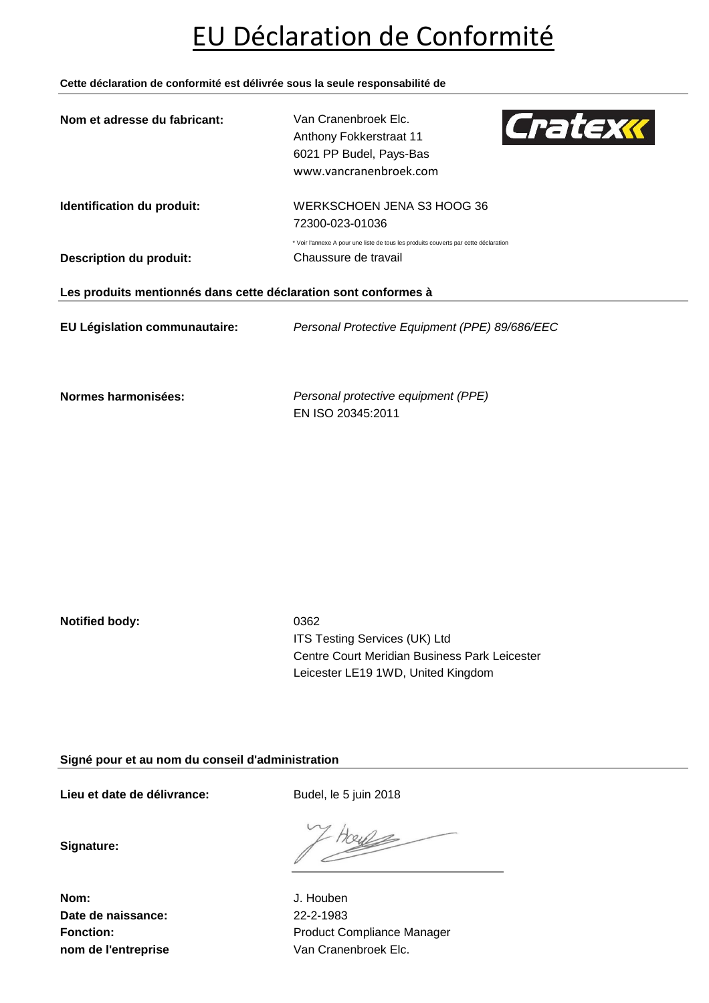# EU Déclaration de Conformité

**Cette déclaration de conformité est délivrée sous la seule responsabilité de**

| Van Cranenbroek Elc.<br>Cratexx<br>Anthony Fokkerstraat 11<br>6021 PP Budel, Pays-Bas<br>www.vancranenbroek.com |  |  |
|-----------------------------------------------------------------------------------------------------------------|--|--|
| WERKSCHOEN JENA S3 HOOG 36<br>72300-023-01036                                                                   |  |  |
| * Voir l'annexe A pour une liste de tous les produits couverts par cette déclaration<br>Chaussure de travail    |  |  |
| Les produits mentionnés dans cette déclaration sont conformes à                                                 |  |  |
| Personal Protective Equipment (PPE) 89/686/EEC                                                                  |  |  |
|                                                                                                                 |  |  |

**Normes harmonisées:** *Personal protective equipment (PPE)* EN ISO 20345:2011

**Notified body:** 0362

ITS Testing Services (UK) Ltd Centre Court Meridian Business Park Leicester Leicester LE19 1WD, United Kingdom

**Signé pour et au nom du conseil d'administration**

Lieu et date de délivrance: Budel, le 5 juin 2018

TOUL

**Signature:**

**Nom:** J. Houben **Date de naissance:** 22-2-1983

Fonction: **Fonction:** Product Compliance Manager **nom de l'entreprise** Van Cranenbroek Elc.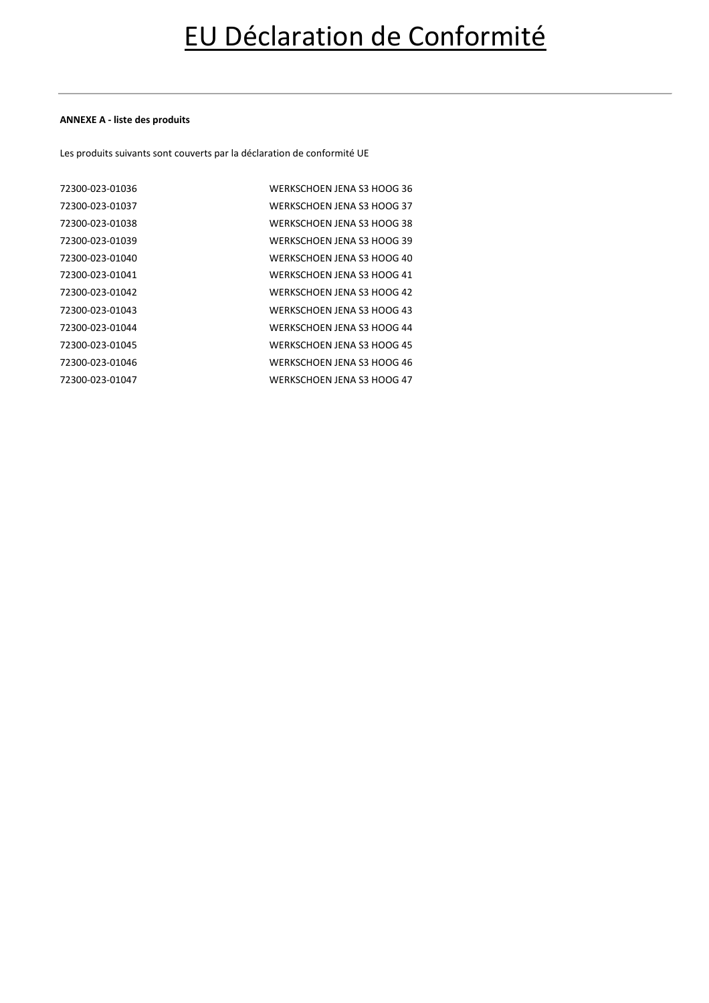### **ANNEXE A - liste des produits**

Les produits suivants sont couverts par la déclaration de conformité UE

| 72300-023-01036 | WERKSCHOEN JENA S3 HOOG 36 |
|-----------------|----------------------------|
| 72300-023-01037 | WERKSCHOEN JENA S3 HOOG 37 |
| 72300-023-01038 | WERKSCHOEN JENA S3 HOOG 38 |
| 72300-023-01039 | WERKSCHOEN JENA S3 HOOG 39 |
| 72300-023-01040 | WERKSCHOEN JENA S3 HOOG 40 |
| 72300-023-01041 | WERKSCHOEN JENA S3 HOOG 41 |
| 72300-023-01042 | WERKSCHOEN JENA S3 HOOG 42 |
| 72300-023-01043 | WERKSCHOEN JENA S3 HOOG 43 |
| 72300-023-01044 | WERKSCHOEN JENA S3 HOOG 44 |
| 72300-023-01045 | WERKSCHOEN JENA S3 HOOG 45 |
| 72300-023-01046 | WERKSCHOEN JENA S3 HOOG 46 |
| 72300-023-01047 | WERKSCHOEN JENA S3 HOOG 47 |
|                 |                            |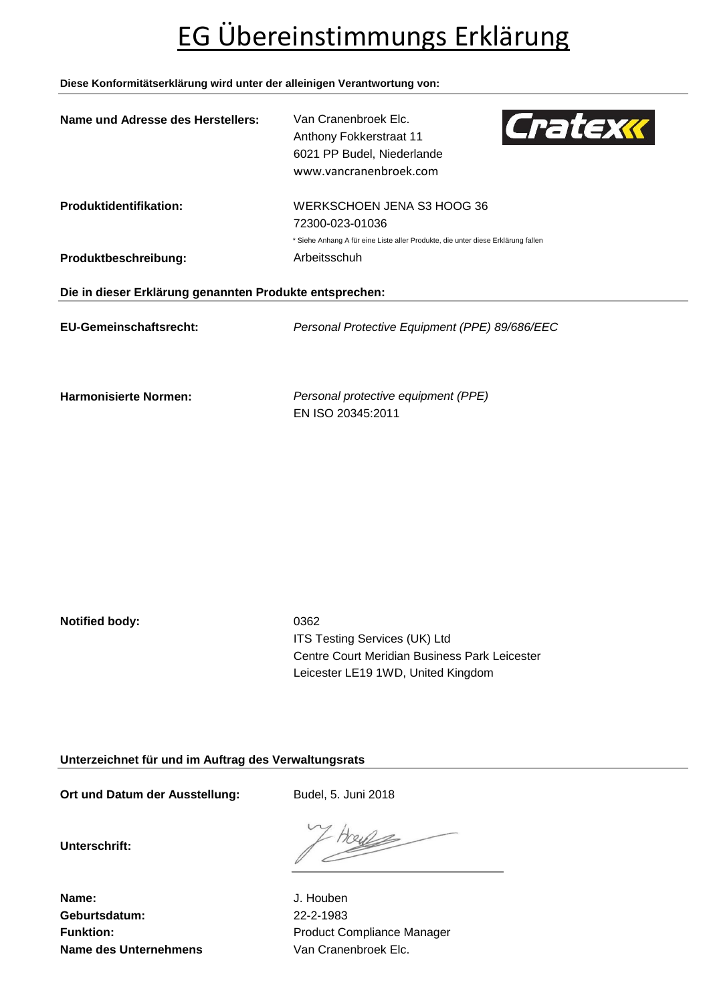# EG Übereinstimmungs Erklärung

### **Diese Konformitätserklärung wird unter der alleinigen Verantwortung von:**

| Name und Adresse des Herstellers:                       | Van Cranenbroek Elc.<br>Cratexx<br>Anthony Fokkerstraat 11<br>6021 PP Budel, Niederlande<br>www.vancranenbroek.com |  |
|---------------------------------------------------------|--------------------------------------------------------------------------------------------------------------------|--|
| <b>Produktidentifikation:</b>                           | WERKSCHOEN JENA S3 HOOG 36                                                                                         |  |
|                                                         | 72300-023-01036                                                                                                    |  |
|                                                         | * Siehe Anhang A für eine Liste aller Produkte, die unter diese Erklärung fallen                                   |  |
| Produktbeschreibung:                                    | Arbeitsschuh                                                                                                       |  |
| Die in dieser Erklärung genannten Produkte entsprechen: |                                                                                                                    |  |
| <b>EU-Gemeinschaftsrecht:</b>                           | Personal Protective Equipment (PPE) 89/686/EEC                                                                     |  |
| <b>Harmonisierte Normen:</b>                            | Personal protective equipment (PPE)                                                                                |  |

EN ISO 20345:2011

**Notified body:** 0362

ITS Testing Services (UK) Ltd Centre Court Meridian Business Park Leicester Leicester LE19 1WD, United Kingdom

**Unterzeichnet für und im Auftrag des Verwaltungsrats**

Ort und Datum der Ausstellung: Budel, 5. Juni 2018

**Unterschrift:**

Tous

**Name:** J. Houben **Geburtsdatum:** 22-2-1983 **Name des Unternehmens** Van Cranenbroek Elc.

Funktion: **Funktion:** Product Compliance Manager